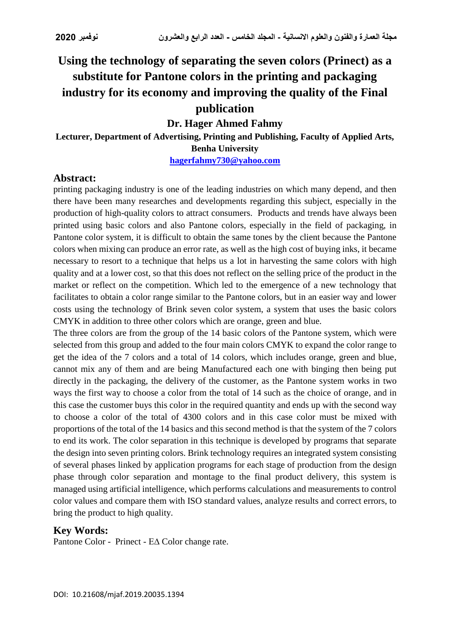# **Using the technology of separating the seven colors (Prinect) as a substitute for Pantone colors in the printing and packaging industry for its economy and improving the quality of the Final publication**

**Dr. Hager Ahmed Fahmy**

**Lecturer, Department of Advertising, Printing and Publishing, Faculty of Applied Arts, Benha University [hagerfahmy730@yahoo.com](mailto:hagerfahmy730@yahoo.com)**

#### **Abstract:**

printing packaging industry is one of the leading industries on which many depend, and then there have been many researches and developments regarding this subject, especially in the production of high-quality colors to attract consumers. Products and trends have always been printed using basic colors and also Pantone colors, especially in the field of packaging, in Pantone color system, it is difficult to obtain the same tones by the client because the Pantone colors when mixing can produce an error rate, as well as the high cost of buying inks, it became necessary to resort to a technique that helps us a lot in harvesting the same colors with high quality and at a lower cost, so that this does not reflect on the selling price of the product in the market or reflect on the competition. Which led to the emergence of a new technology that facilitates to obtain a color range similar to the Pantone colors, but in an easier way and lower costs using the technology of Brink seven color system, a system that uses the basic colors CMYK in addition to three other colors which are orange, green and blue.

The three colors are from the group of the 14 basic colors of the Pantone system, which were selected from this group and added to the four main colors CMYK to expand the color range to get the idea of the 7 colors and a total of 14 colors, which includes orange, green and blue, cannot mix any of them and are being Manufactured each one with binging then being put directly in the packaging, the delivery of the customer, as the Pantone system works in two ways the first way to choose a color from the total of 14 such as the choice of orange, and in this case the customer buys this color in the required quantity and ends up with the second way to choose a color of the total of 4300 colors and in this case color must be mixed with proportions of the total of the 14 basics and this second method is that the system of the 7 colors to end its work. The color separation in this technique is developed by programs that separate the design into seven printing colors. Brink technology requires an integrated system consisting of several phases linked by application programs for each stage of production from the design phase through color separation and montage to the final product delivery, this system is managed using artificial intelligence, which performs calculations and measurements to control color values and compare them with ISO standard values, analyze results and correct errors, to bring the product to high quality.

#### **Key Words:**

Pantone Color - Prinect - E∆ Color change rate.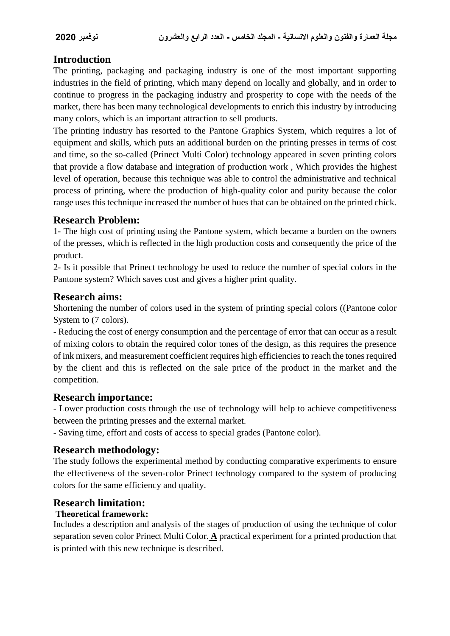# **Introduction**

The printing, packaging and packaging industry is one of the most important supporting industries in the field of printing, which many depend on locally and globally, and in order to continue to progress in the packaging industry and prosperity to cope with the needs of the market, there has been many technological developments to enrich this industry by introducing many colors, which is an important attraction to sell products.

The printing industry has resorted to the Pantone Graphics System, which requires a lot of equipment and skills, which puts an additional burden on the printing presses in terms of cost and time, so the so-called (Prinect Multi Color) technology appeared in seven printing colors that provide a flow database and integration of production work , Which provides the highest level of operation, because this technique was able to control the administrative and technical process of printing, where the production of high-quality color and purity because the color range uses this technique increased the number of hues that can be obtained on the printed chick.

# **Research Problem:**

1**-** The high cost of printing using the Pantone system, which became a burden on the owners of the presses, which is reflected in the high production costs and consequently the price of the product.

2- Is it possible that Prinect technology be used to reduce the number of special colors in the Pantone system? Which saves cost and gives a higher print quality.

# **Research aims:**

Shortening the number of colors used in the system of printing special colors ((Pantone color System to (7 colors).

- Reducing the cost of energy consumption and the percentage of error that can occur as a result of mixing colors to obtain the required color tones of the design, as this requires the presence of ink mixers, and measurement coefficient requires high efficiencies to reach the tones required by the client and this is reflected on the sale price of the product in the market and the competition.

#### **Research importance:**

- Lower production costs through the use of technology will help to achieve competitiveness between the printing presses and the external market.

- Saving time, effort and costs of access to special grades (Pantone color).

# **Research methodology:**

The study follows the experimental method by conducting comparative experiments to ensure the effectiveness of the seven-color Prinect technology compared to the system of producing colors for the same efficiency and quality.

# **Research limitation:**

# **Theoretical framework:**

Includes a description and analysis of the stages of production of using the technique of color separation seven color Prinect Multi Color. **A** practical experiment for a printed production that is printed with this new technique is described.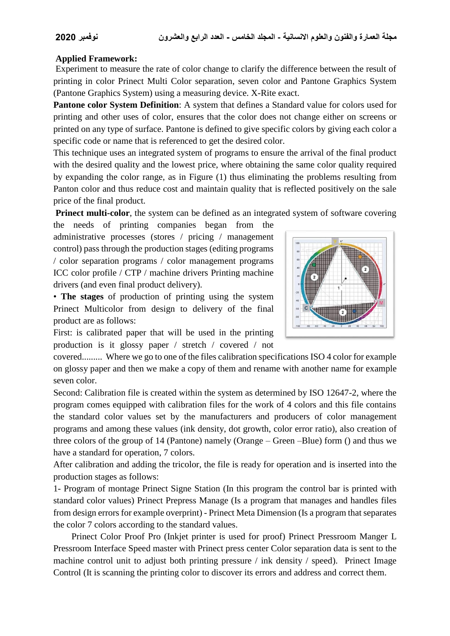#### **Applied Framework:**

Experiment to measure the rate of color change to clarify the difference between the result of printing in color Prinect Multi Color separation, seven color and Pantone Graphics System (Pantone Graphics System) using a measuring device. X-Rite exact.

**Pantone color System Definition**: A system that defines a Standard value for colors used for printing and other uses of color, ensures that the color does not change either on screens or printed on any type of surface. Pantone is defined to give specific colors by giving each color a specific code or name that is referenced to get the desired color.

This technique uses an integrated system of programs to ensure the arrival of the final product with the desired quality and the lowest price, where obtaining the same color quality required by expanding the color range, as in Figure (1) thus eliminating the problems resulting from Panton color and thus reduce cost and maintain quality that is reflected positively on the sale price of the final product.

**Prinect multi-color**, the system can be defined as an integrated system of software covering

the needs of printing companies began from the administrative processes (stores / pricing / management control) pass through the production stages (editing programs / color separation programs / color management programs ICC color profile / CTP / machine drivers Printing machine drivers (and even final product delivery).





First: is calibrated paper that will be used in the printing production is it glossy paper / stretch / covered / not

covered......... Where we go to one of the files calibration specifications ISO 4 color for example on glossy paper and then we make a copy of them and rename with another name for example seven color.

Second: Calibration file is created within the system as determined by ISO 12647-2, where the program comes equipped with calibration files for the work of 4 colors and this file contains the standard color values set by the manufacturers and producers of color management programs and among these values (ink density, dot growth, color error ratio), also creation of three colors of the group of 14 (Pantone) namely (Orange – Green –Blue) form () and thus we have a standard for operation, 7 colors.

After calibration and adding the tricolor, the file is ready for operation and is inserted into the production stages as follows:

1- Program of montage Prinect Signe Station (In this program the control bar is printed with standard color values) Prinect Prepress Manage (Is a program that manages and handles files from design errors for example overprint) - Prinect Meta Dimension (Is a program that separates the color 7 colors according to the standard values.

 Prinect Color Proof Pro (Inkjet printer is used for proof) Prinect Pressroom Manger L Pressroom Interface Speed master with Prinect press center Color separation data is sent to the machine control unit to adjust both printing pressure / ink density / speed). Prinect Image Control (It is scanning the printing color to discover its errors and address and correct them.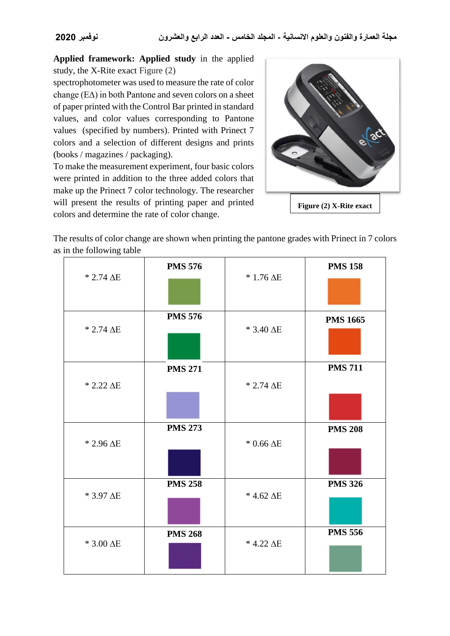**Applied framework: Applied study** in the applied study, the X-Rite exact Figure (2)

spectrophotometer was used to measure the rate of color change (E∆) in both Pantone and seven colors on a sheet of paper printed with the Control Bar printed in standard values, and color values corresponding to Pantone values (specified by numbers). Printed with Prinect 7 colors and a selection of different designs and prints (books / magazines / packaging).

To make the measurement experiment, four basic colors were printed in addition to the three added colors that make up the Prinect 7 color technology. The researcher will present the results of printing paper and printed colors and determine the rate of color change.



The results of color change are shown when printing the pantone grades with Prinect in 7 colors as in the following table

|                     | <b>PMS 576</b> |                     | <b>PMS 158</b>  |
|---------------------|----------------|---------------------|-----------------|
| $* 2.74 \Delta E$   |                | $*1.76\,\Delta E$   |                 |
|                     | <b>PMS 576</b> |                     | <b>PMS 1665</b> |
| $* 2.74 \Delta E$   |                | $*$ 3.40 $\Delta E$ |                 |
|                     | <b>PMS 271</b> |                     | <b>PMS 711</b>  |
| $* 2.22 \Delta E$   |                | $* 2.74 \Delta E$   |                 |
|                     |                |                     |                 |
|                     | <b>PMS 273</b> |                     | <b>PMS 208</b>  |
| $*$ 2.96 $\Delta E$ |                | $*$ 0.66 $\Delta E$ |                 |
|                     | <b>PMS 258</b> |                     | <b>PMS 326</b>  |
| * 3.97 AE           |                | $*$ 4.62 $\Delta E$ |                 |
|                     | <b>PMS 268</b> |                     | <b>PMS 556</b>  |
| $*$ 3.00 $\Delta E$ |                | $*$ 4.22 $\Delta E$ |                 |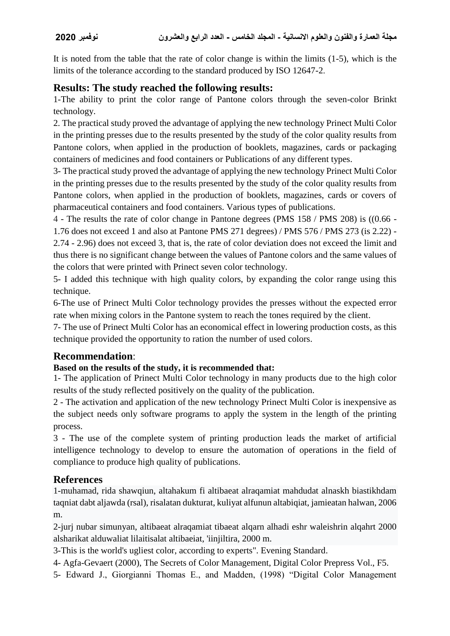It is noted from the table that the rate of color change is within the limits (1-5), which is the limits of the tolerance according to the standard produced by ISO 12647-2.

# **Results: The study reached the following results:**

1-The ability to print the color range of Pantone colors through the seven-color Brinkt technology.

2. The practical study proved the advantage of applying the new technology Prinect Multi Color in the printing presses due to the results presented by the study of the color quality results from Pantone colors, when applied in the production of booklets, magazines, cards or packaging containers of medicines and food containers or Publications of any different types.

3- The practical study proved the advantage of applying the new technology Prinect Multi Color in the printing presses due to the results presented by the study of the color quality results from Pantone colors, when applied in the production of booklets, magazines, cards or covers of pharmaceutical containers and food containers. Various types of publications.

4 - The results the rate of color change in Pantone degrees (PMS 158 / PMS 208) is ((0.66 - 1.76 does not exceed 1 and also at Pantone PMS 271 degrees) / PMS 576 / PMS 273 (is 2.22) - 2.74 - 2.96) does not exceed 3, that is, the rate of color deviation does not exceed the limit and thus there is no significant change between the values of Pantone colors and the same values of the colors that were printed with Prinect seven color technology.

5- I added this technique with high quality colors, by expanding the color range using this technique.

6-The use of Prinect Multi Color technology provides the presses without the expected error rate when mixing colors in the Pantone system to reach the tones required by the client.

7- The use of Prinect Multi Color has an economical effect in lowering production costs, as this technique provided the opportunity to ration the number of used colors.

# **Recommendation**:

#### **Based on the results of the study, it is recommended that:**

1- The application of Prinect Multi Color technology in many products due to the high color results of the study reflected positively on the quality of the publication.

2 - The activation and application of the new technology Prinect Multi Color is inexpensive as the subject needs only software programs to apply the system in the length of the printing process.

3 - The use of the complete system of printing production leads the market of artificial intelligence technology to develop to ensure the automation of operations in the field of compliance to produce high quality of publications.

# **References**

1-muhamad, rida shawqiun, altahakum fi altibaeat alraqamiat mahdudat alnaskh biastikhdam taqniat dabt aljawda (rsal), risalatan dukturat, kuliyat alfunun altabiqiat, jamieatan halwan, 2006 m.

2-jurj nubar simunyan, altibaeat alraqamiat tibaeat alqarn alhadi eshr waleishrin alqahrt 2000 alsharikat alduwaliat lilaitisalat altibaeiat, 'iinjiltira, 2000 m.

3-This is the world's ugliest color, according to experts". Evening Standard.

4- Agfa-Gevaert (2000), The Secrets of Color Management, Digital Color Prepress Vol., F5.

5- Edward J., Giorgianni Thomas E., and Madden, (1998) "Digital Color Management